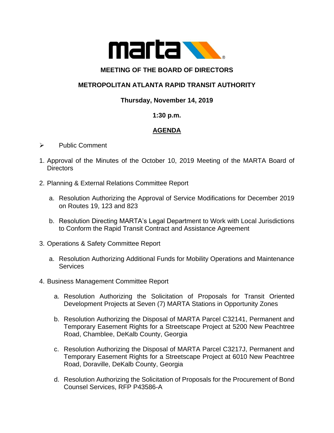

#### **MEETING OF THE BOARD OF DIRECTORS**

# **METROPOLITAN ATLANTA RAPID TRANSIT AUTHORITY**

## **Thursday, November 14, 2019**

#### **1:30 p.m.**

## **AGENDA**

- ➢ Public Comment
- 1. Approval of the Minutes of the October 10, 2019 Meeting of the MARTA Board of **Directors**
- 2. Planning & External Relations Committee Report
	- a. Resolution Authorizing the Approval of Service Modifications for December 2019 on Routes 19, 123 and 823
	- b. Resolution Directing MARTA's Legal Department to Work with Local Jurisdictions to Conform the Rapid Transit Contract and Assistance Agreement
- 3. Operations & Safety Committee Report
	- a. Resolution Authorizing Additional Funds for Mobility Operations and Maintenance Services
- 4. Business Management Committee Report
	- a. Resolution Authorizing the Solicitation of Proposals for Transit Oriented Development Projects at Seven (7) MARTA Stations in Opportunity Zones
	- b. Resolution Authorizing the Disposal of MARTA Parcel C32141, Permanent and Temporary Easement Rights for a Streetscape Project at 5200 New Peachtree Road, Chamblee, DeKalb County, Georgia
	- c. Resolution Authorizing the Disposal of MARTA Parcel C3217J, Permanent and Temporary Easement Rights for a Streetscape Project at 6010 New Peachtree Road, Doraville, DeKalb County, Georgia
	- d. Resolution Authorizing the Solicitation of Proposals for the Procurement of Bond Counsel Services, RFP P43586-A